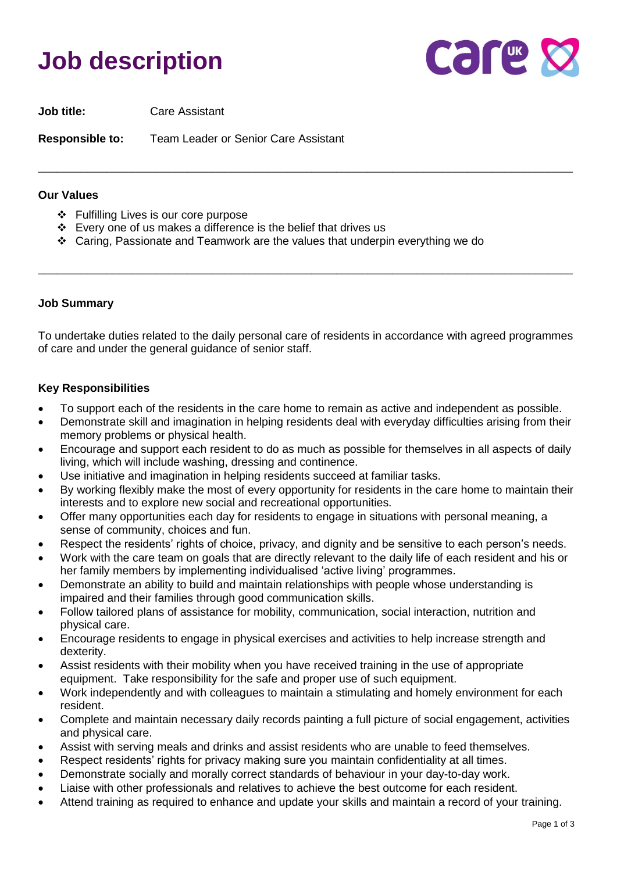# **Job description**



**Job title:** Care Assistant

**Responsible to:** Team Leader or Senior Care Assistant

#### **Our Values**

- ❖ Fulfilling Lives is our core purpose
- ❖ Every one of us makes a difference is the belief that drives us
- ❖ Caring, Passionate and Teamwork are the values that underpin everything we do

#### **Job Summary**

To undertake duties related to the daily personal care of residents in accordance with agreed programmes of care and under the general guidance of senior staff.

\_\_\_\_\_\_\_\_\_\_\_\_\_\_\_\_\_\_\_\_\_\_\_\_\_\_\_\_\_\_\_\_\_\_\_\_\_\_\_\_\_\_\_\_\_\_\_\_\_\_\_\_\_\_\_\_\_\_\_\_\_\_\_\_\_\_\_\_\_\_\_\_\_\_\_\_\_\_\_\_\_\_\_\_\_\_

\_\_\_\_\_\_\_\_\_\_\_\_\_\_\_\_\_\_\_\_\_\_\_\_\_\_\_\_\_\_\_\_\_\_\_\_\_\_\_\_\_\_\_\_\_\_\_\_\_\_\_\_\_\_\_\_\_\_\_\_\_\_\_\_\_\_\_\_\_\_\_\_\_\_\_\_\_\_\_\_\_\_\_\_\_\_

#### **Key Responsibilities**

- To support each of the residents in the care home to remain as active and independent as possible.
- Demonstrate skill and imagination in helping residents deal with everyday difficulties arising from their memory problems or physical health.
- Encourage and support each resident to do as much as possible for themselves in all aspects of daily living, which will include washing, dressing and continence.
- Use initiative and imagination in helping residents succeed at familiar tasks.
- By working flexibly make the most of every opportunity for residents in the care home to maintain their interests and to explore new social and recreational opportunities.
- Offer many opportunities each day for residents to engage in situations with personal meaning, a sense of community, choices and fun.
- Respect the residents' rights of choice, privacy, and dignity and be sensitive to each person's needs.
- Work with the care team on goals that are directly relevant to the daily life of each resident and his or her family members by implementing individualised 'active living' programmes.
- Demonstrate an ability to build and maintain relationships with people whose understanding is impaired and their families through good communication skills.
- Follow tailored plans of assistance for mobility, communication, social interaction, nutrition and physical care.
- Encourage residents to engage in physical exercises and activities to help increase strength and dexterity.
- Assist residents with their mobility when you have received training in the use of appropriate equipment. Take responsibility for the safe and proper use of such equipment.
- Work independently and with colleagues to maintain a stimulating and homely environment for each resident.
- Complete and maintain necessary daily records painting a full picture of social engagement, activities and physical care.
- Assist with serving meals and drinks and assist residents who are unable to feed themselves.
- Respect residents' rights for privacy making sure you maintain confidentiality at all times.
- Demonstrate socially and morally correct standards of behaviour in your day-to-day work.
- Liaise with other professionals and relatives to achieve the best outcome for each resident.
- Attend training as required to enhance and update your skills and maintain a record of your training.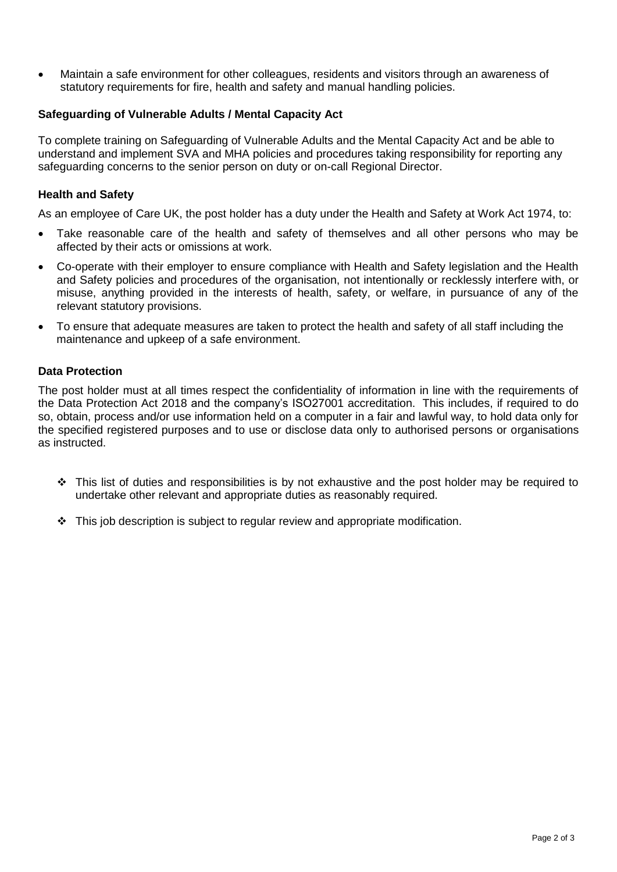• Maintain a safe environment for other colleagues, residents and visitors through an awareness of statutory requirements for fire, health and safety and manual handling policies.

## **Safeguarding of Vulnerable Adults / Mental Capacity Act**

To complete training on Safeguarding of Vulnerable Adults and the Mental Capacity Act and be able to understand and implement SVA and MHA policies and procedures taking responsibility for reporting any safeguarding concerns to the senior person on duty or on-call Regional Director.

# **Health and Safety**

As an employee of Care UK, the post holder has a duty under the Health and Safety at Work Act 1974, to:

- Take reasonable care of the health and safety of themselves and all other persons who may be affected by their acts or omissions at work.
- Co-operate with their employer to ensure compliance with Health and Safety legislation and the Health and Safety policies and procedures of the organisation, not intentionally or recklessly interfere with, or misuse, anything provided in the interests of health, safety, or welfare, in pursuance of any of the relevant statutory provisions.
- To ensure that adequate measures are taken to protect the health and safety of all staff including the maintenance and upkeep of a safe environment.

### **Data Protection**

The post holder must at all times respect the confidentiality of information in line with the requirements of the Data Protection Act 2018 and the company's ISO27001 accreditation. This includes, if required to do so, obtain, process and/or use information held on a computer in a fair and lawful way, to hold data only for the specified registered purposes and to use or disclose data only to authorised persons or organisations as instructed.

- ❖ This list of duties and responsibilities is by not exhaustive and the post holder may be required to undertake other relevant and appropriate duties as reasonably required.
- ❖ This job description is subject to regular review and appropriate modification.